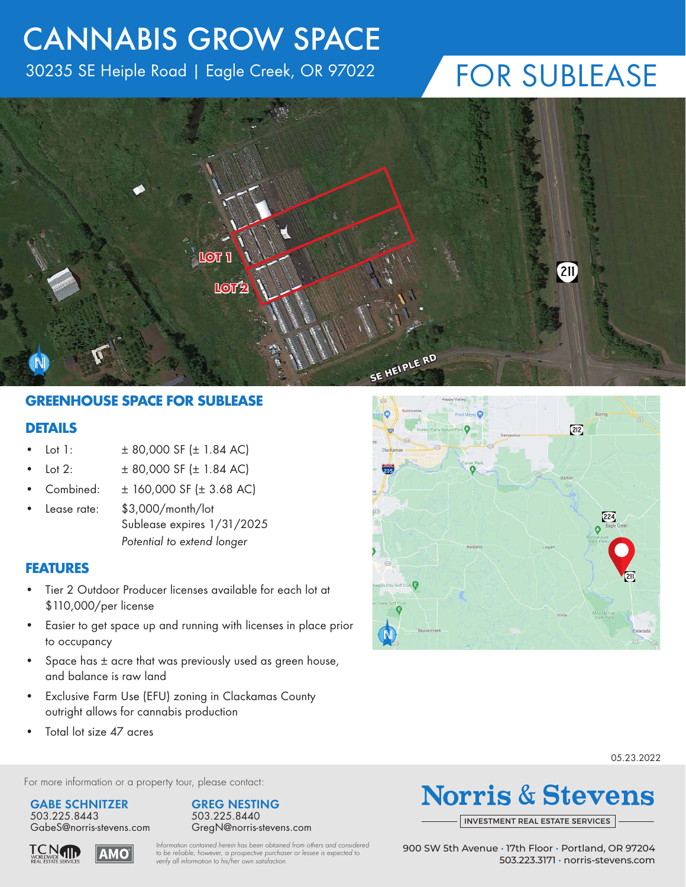### CANNABIS GROW SPACE

30235 SE Heiple Road | Eagle Creek, OR 97022

### FOR SUBLEASE



#### **GREENHOUSE SPACE FOR SUBLEASE**

#### **DETAILS**

- Lot 1:  $\pm 80,000$  SF ( $\pm 1.84$  AC)
- Lot 2:  $\pm 80,000$  SF ( $\pm 1.84$  AC)
- Combined: ± 160,000 SF (± 3.68 AC)
- Lease rate: \$3,000/month/lot Sublease expires 1/31/2025 *Potential to extend longer*

#### **FEATURES**

- Tier 2 Outdoor Producer licenses available for each lot at \$110,000/per license
- Easier to get space up and running with licenses in place prior to occupancy
- Space has  $\pm$  acre that was previously used as green house, and balance is raw land
- Exclusive Farm Use (EFU) zoning in Clackamas County outright allows for cannabis production
- Total lot size 47 acres



05.23.2022

For more information or a property tour, please contact:

**GABE SCHNITZER** 503.225.8443





**Norris & Stevens** 

INVESTMENT [REAL ESTATE SERVICES](http://www.norris-stevens.com)

**TCN** AMO *Information contained herein has been obtained from others and considered to be reliable; however, a prospective purchaser or lessee is expected to verify all information to his/her own satisfaction.*

900 SW 5th Avenue • 17th Floor • Portland, OR 97204 503.223.3171 • [norris-stevens.com](http://www.norris-stevens.com)